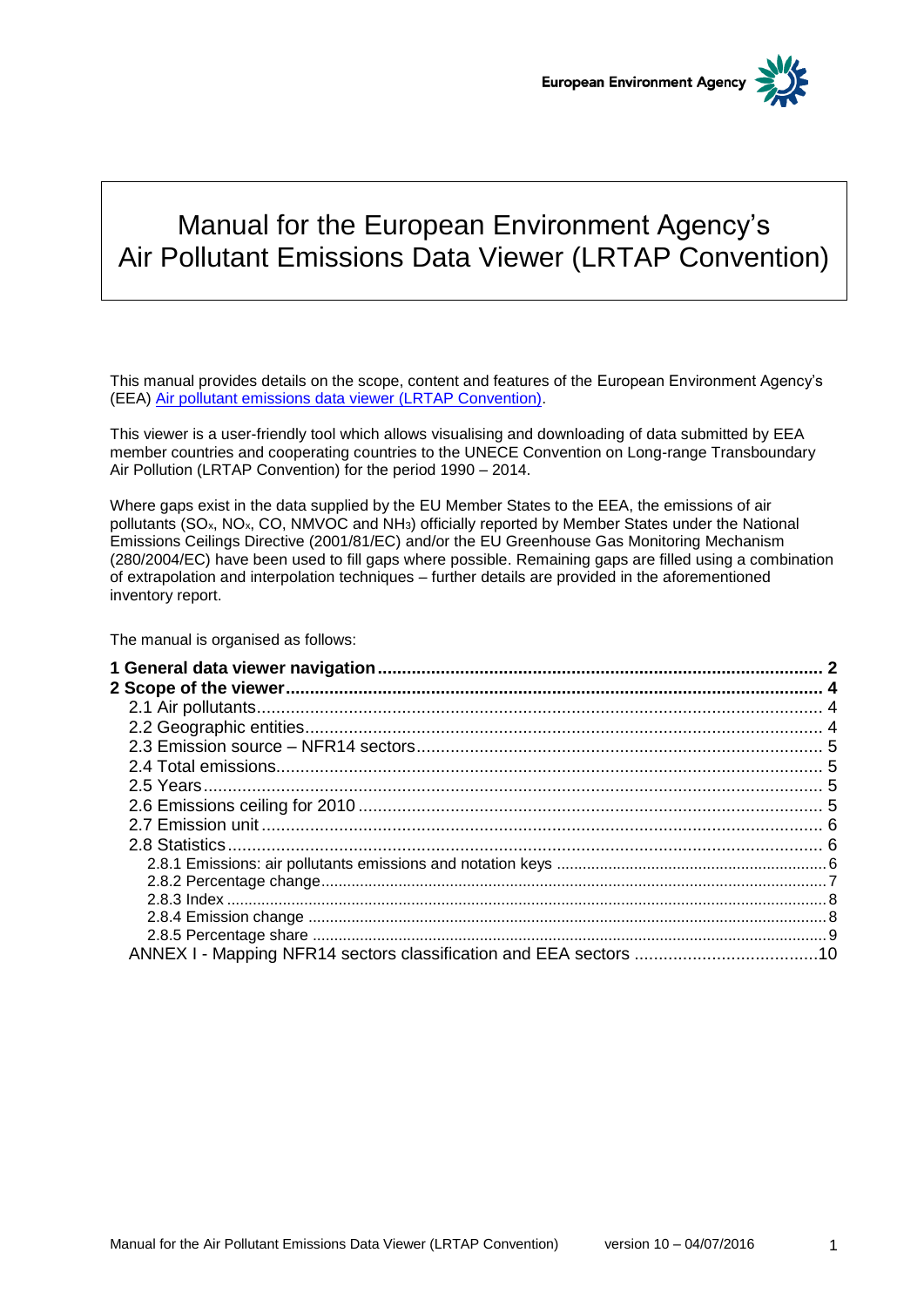

# Manual for the European Environment Agency's Air Pollutant Emissions Data Viewer (LRTAP Convention)

This manual provides details on the scope, content and features of the European Environment Agency's (EEA) [Air pollutant emissions data viewer \(LRTAP Convention\).](http://www.eea.europa.eu/data-and-maps/data/data-viewers/air-emissions-viewer-lrtap)

This viewer is a user-friendly tool which allows visualising and downloading of data submitted by EEA member countries and cooperating countries to the UNECE Convention on Long-range Transboundary Air Pollution (LRTAP Convention) for the period 1990 – 2014.

Where gaps exist in the data supplied by the EU Member States to the EEA, the emissions of air pollutants (SOx, NOx, CO, NMVOC and NH3) officially reported by Member States under the National Emissions Ceilings Directive (2001/81/EC) and/or the EU Greenhouse Gas Monitoring Mechanism (280/2004/EC) have been used to fill gaps where possible. Remaining gaps are filled using a combination of extrapolation and interpolation techniques – further details are provided in the aforementioned inventory report.

The manual is organised as follows: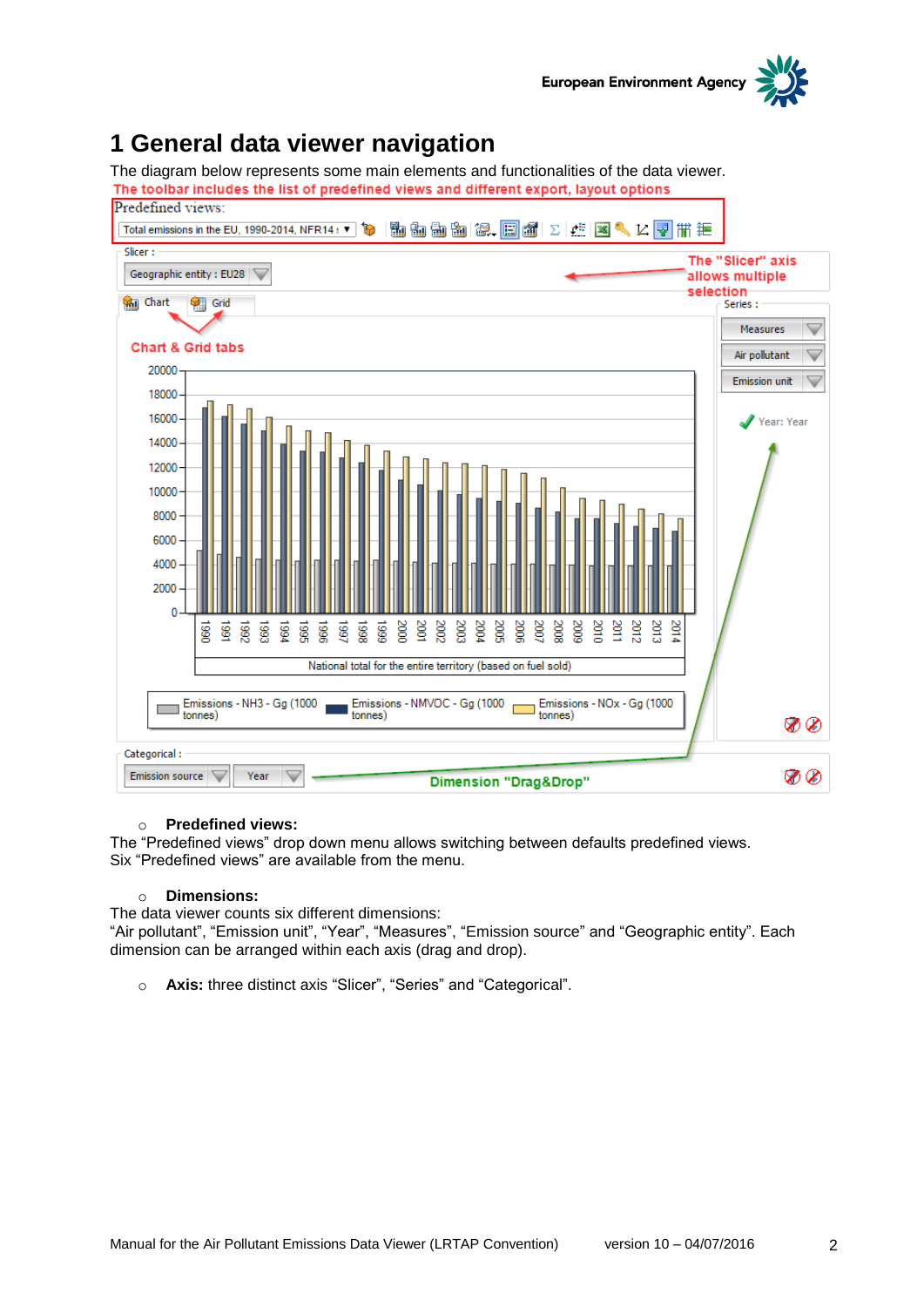

## <span id="page-1-0"></span>**1 General data viewer navigation**

The diagram below represents some main elements and functionalities of the data viewer.



#### o **Predefined views:**

The "Predefined views" drop down menu allows switching between defaults predefined views. Six "Predefined views" are available from the menu.

#### o **Dimensions:**

The data viewer counts six different dimensions:

"Air pollutant", "Emission unit", "Year", "Measures", "Emission source" and "Geographic entity". Each dimension can be arranged within each axis (drag and drop).

o **Axis:** three distinct axis "Slicer", "Series" and "Categorical".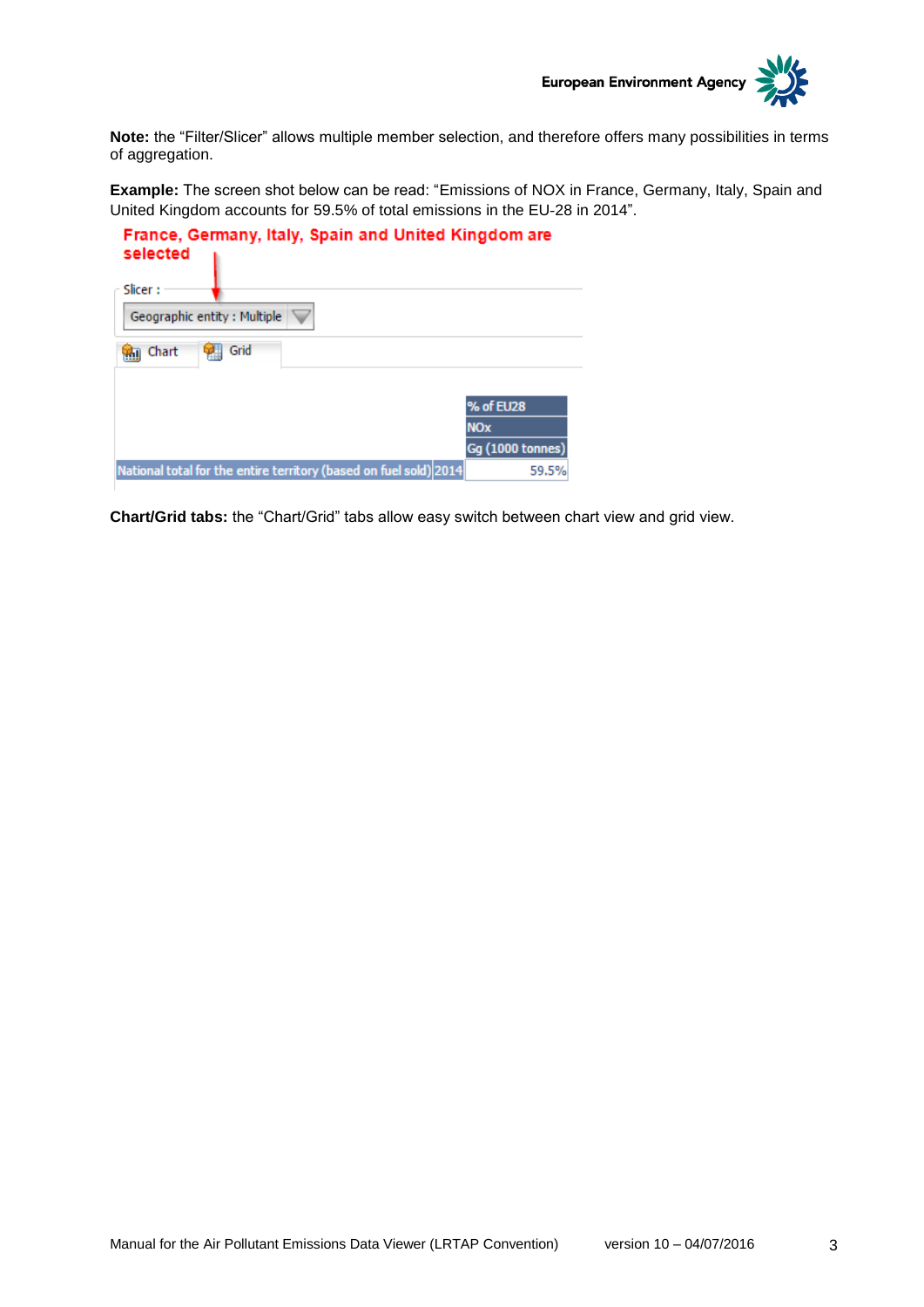

**Note:** the "Filter/Slicer" allows multiple member selection, and therefore offers many possibilities in terms of aggregation.

**Example:** The screen shot below can be read: "Emissions of NOX in France, Germany, Italy, Spain and United Kingdom accounts for 59.5% of total emissions in the EU‐28 in 2014".

| France, Germany, Italy, Spain and United Kingdom are<br>selected  |                       |
|-------------------------------------------------------------------|-----------------------|
| Slicer:                                                           |                       |
| Geographic entity: Multiple                                       |                       |
| Grid<br>Chart                                                     |                       |
|                                                                   |                       |
|                                                                   | % of EU28             |
|                                                                   | <b>NO<sub>x</sub></b> |
|                                                                   | Gq (1000 tonnes)      |
| National total for the entire territory (based on fuel sold) 2014 | 59.5%                 |

**Chart/Grid tabs:** the "Chart/Grid" tabs allow easy switch between chart view and grid view.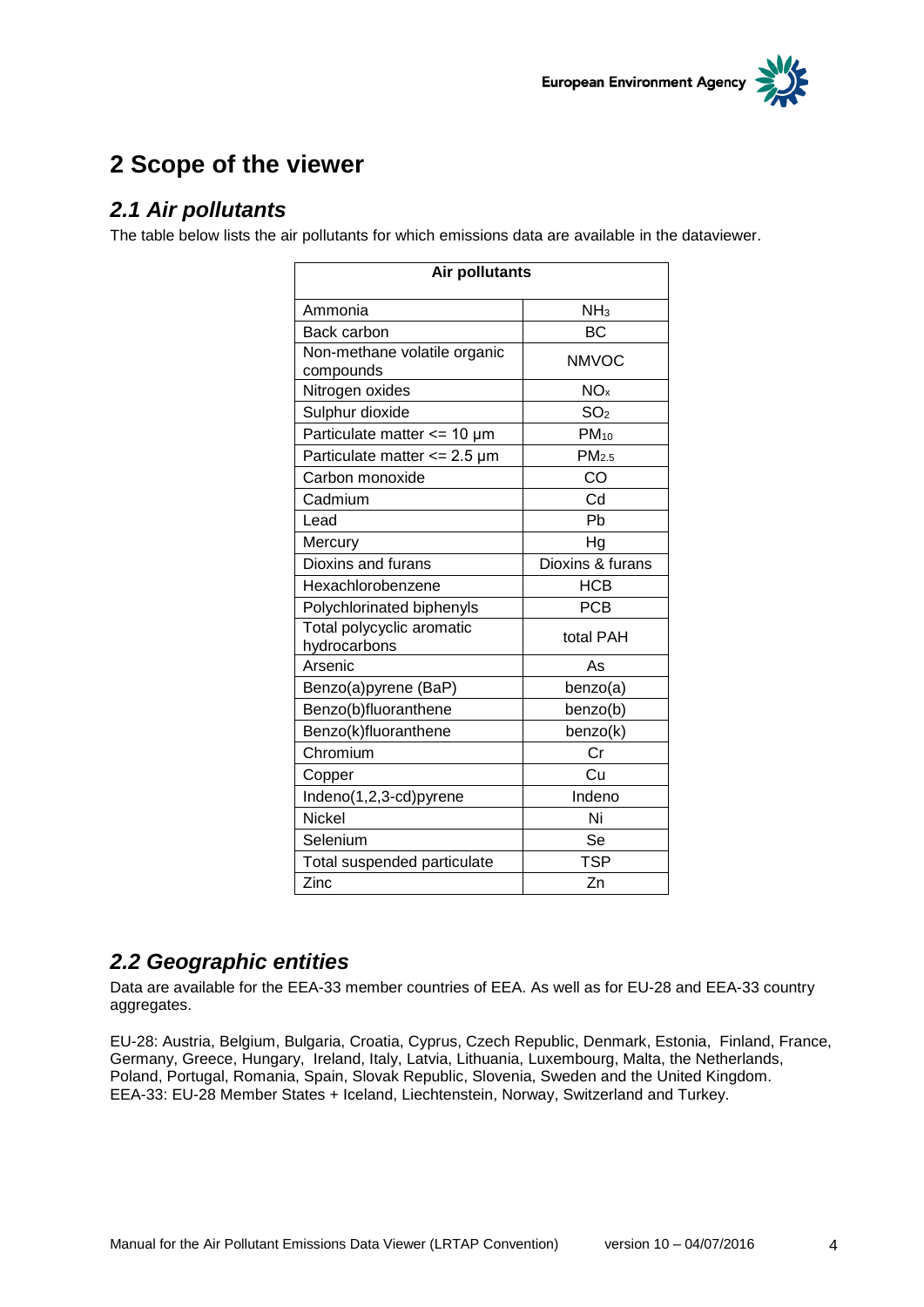

# <span id="page-3-0"></span>**2 Scope of the viewer**

### <span id="page-3-1"></span>*2.1 Air pollutants*

The table below lists the air pollutants for which emissions data are available in the dataviewer.

| <b>Air pollutants</b>                     |                   |  |
|-------------------------------------------|-------------------|--|
| Ammonia                                   | NH <sub>3</sub>   |  |
| Back carbon                               | <b>BC</b>         |  |
| Non-methane volatile organic<br>compounds | <b>NMVOC</b>      |  |
| Nitrogen oxides                           | NO <sub>x</sub>   |  |
| Sulphur dioxide                           | SO <sub>2</sub>   |  |
| Particulate matter $<= 10 \mu m$          | $PM_{10}$         |  |
| Particulate matter $\epsilon$ = 2.5 µm    | PM <sub>2.5</sub> |  |
| Carbon monoxide                           | CO                |  |
| Cadmium                                   | Cd                |  |
| Lead                                      | Ph                |  |
| Mercury                                   | Ηg                |  |
| Dioxins and furans                        | Dioxins & furans  |  |
| Hexachlorobenzene                         | <b>HCB</b>        |  |
| Polychlorinated biphenyls                 | <b>PCB</b>        |  |
| Total polycyclic aromatic<br>hydrocarbons | total PAH         |  |
| Arsenic                                   | As                |  |
| Benzo(a)pyrene (BaP)                      | benzo(a)          |  |
| Benzo(b)fluoranthene                      | benzo(b)          |  |
| Benzo(k)fluoranthene                      | benzo(k)          |  |
| Chromium                                  | Cr                |  |
| Copper                                    | Cu                |  |
| Indeno(1,2,3-cd)pyrene                    | Indeno            |  |
| <b>Nickel</b>                             | Ni                |  |
| Selenium                                  | Se                |  |
| Total suspended particulate               | <b>TSP</b>        |  |
| Zinc                                      | Zn                |  |

### <span id="page-3-2"></span>*2.2 Geographic entities*

Data are available for the EEA-33 member countries of EEA. As well as for EU-28 and EEA-33 country aggregates.

EU-28: Austria, Belgium, Bulgaria, Croatia, Cyprus, Czech Republic, Denmark, Estonia, Finland, France, Germany, Greece, Hungary, Ireland, Italy, Latvia, Lithuania, Luxembourg, Malta, the Netherlands, Poland, Portugal, Romania, Spain, Slovak Republic, Slovenia, Sweden and the United Kingdom. EEA-33: EU-28 Member States + Iceland, Liechtenstein, Norway, Switzerland and Turkey.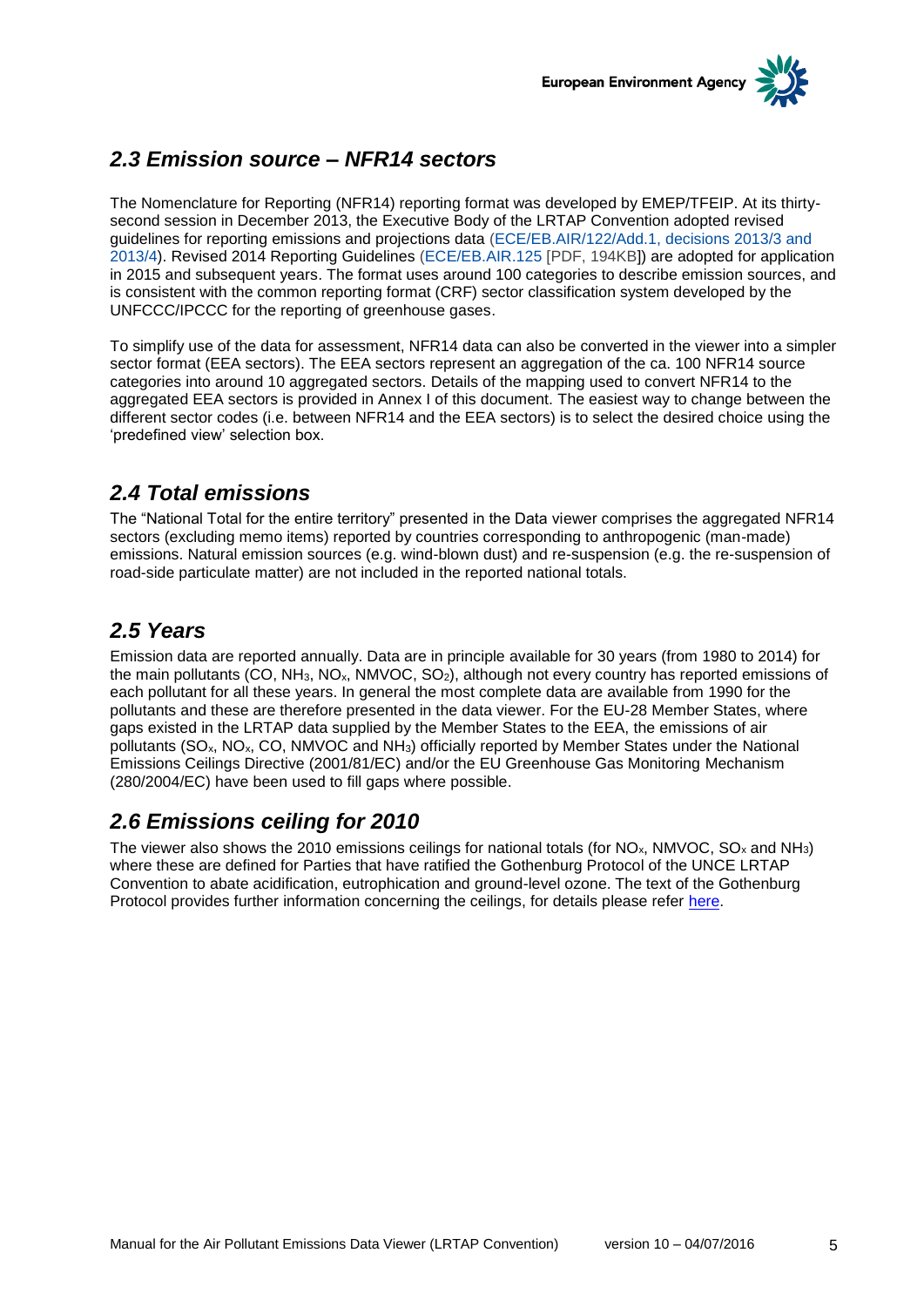

## <span id="page-4-0"></span>*2.3 Emission source – NFR14 sectors*

The Nomenclature for Reporting (NFR14) reporting format was developed by EMEP/TFEIP. At its thirtysecond session in December 2013, the Executive Body of the LRTAP Convention adopted revised guidelines for reporting emissions and projections data [\(ECE/EB.AIR/122/Add.1, decisions 2013/3 and](http://www.unece.org/env/lrtap/executivebody/eb_decision.html)  [2013/4\)](http://www.unece.org/env/lrtap/executivebody/eb_decision.html). Revised 2014 Reporting Guidelines [\(ECE/EB.AIR.125](http://www.ceip.at/fileadmin/inhalte/emep/2014_Guidelines/ece.eb.air.125_ADVANCE_VERSION_reporting_guidelines_2013.pdf) [PDF, 194KB]) are adopted for application in 2015 and subsequent years. The format uses around 100 categories to describe emission sources, and is consistent with the common reporting format (CRF) sector classification system developed by the UNFCCC/IPCCC for the reporting of greenhouse gases.

To simplify use of the data for assessment, NFR14 data can also be converted in the viewer into a simpler sector format (EEA sectors). The EEA sectors represent an aggregation of the ca. 100 NFR14 source categories into around 10 aggregated sectors. Details of the mapping used to convert NFR14 to the aggregated EEA sectors is provided in Annex I of this document. The easiest way to change between the different sector codes (i.e. between NFR14 and the EEA sectors) is to select the desired choice using the 'predefined view' selection box.

### <span id="page-4-1"></span>*2.4 Total emissions*

The "National Total for the entire territory" presented in the Data viewer comprises the aggregated NFR14 sectors (excluding memo items) reported by countries corresponding to anthropogenic (man-made) emissions. Natural emission sources (e.g. wind-blown dust) and re-suspension (e.g. the re-suspension of road-side particulate matter) are not included in the reported national totals.

## <span id="page-4-2"></span>*2.5 Years*

Emission data are reported annually. Data are in principle available for 30 years (from 1980 to 2014) for the main pollutants (CO, NH<sub>3</sub>, NO<sub>x</sub>, NMVOC, SO<sub>2</sub>), although not every country has reported emissions of each pollutant for all these years. In general the most complete data are available from 1990 for the pollutants and these are therefore presented in the data viewer. For the EU-28 Member States, where gaps existed in the LRTAP data supplied by the Member States to the EEA, the emissions of air pollutants ( $SO_x$ ,  $NO_x$ ,  $CO$ ,  $NMVOC$  and  $NH_3$ ) officially reported by Member States under the National Emissions Ceilings Directive (2001/81/EC) and/or the EU Greenhouse Gas Monitoring Mechanism (280/2004/EC) have been used to fill gaps where possible.

### <span id="page-4-3"></span>*2.6 Emissions ceiling for 2010*

The viewer also shows the 2010 emissions ceilings for national totals (for NO<sub>x</sub>, NMVOC, SO<sub>x</sub> and NH<sub>3</sub>) where these are defined for Parties that have ratified the Gothenburg Protocol of the UNCE LRTAP Convention to abate acidification, eutrophication and ground-level ozone. The text of the Gothenburg Protocol provides further information concerning the ceilings, for details please refer [here.](http://www.unece.org/fileadmin/DAM/env/lrtap/full%20text/1999%20Multi.E.Amended.2005.pdf)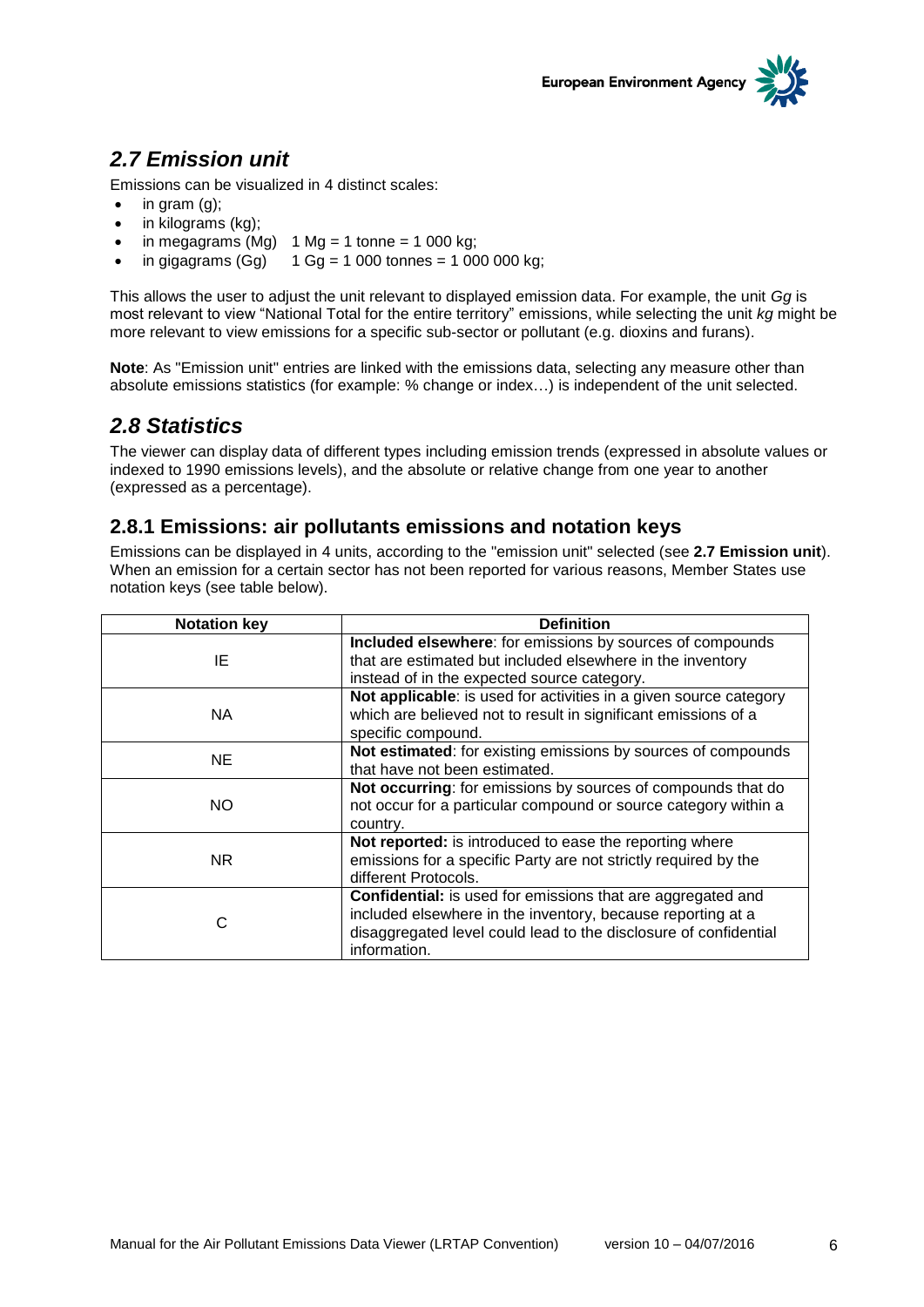

## <span id="page-5-0"></span>*2.7 Emission unit*

Emissions can be visualized in 4 distinct scales:

- $\bullet$  in gram  $(q)$ ;
- $\bullet$  in kilograms (kg);
- $\bullet$  in megagrams (Mg) 1 Mg = 1 tonne = 1 000 kg;
- in gigagrams  $(Gg)$  1  $Gg = 1000$  tonnes = 1 000 000 kg;

This allows the user to adjust the unit relevant to displayed emission data. For example, the unit *Gg* is most relevant to view "National Total for the entire territory" emissions, while selecting the unit *kg* might be more relevant to view emissions for a specific sub-sector or pollutant (e.g. dioxins and furans).

**Note**: As "Emission unit" entries are linked with the emissions data, selecting any measure other than absolute emissions statistics (for example: % change or index…) is independent of the unit selected.

### <span id="page-5-1"></span>*2.8 Statistics*

The viewer can display data of different types including emission trends (expressed in absolute values or indexed to 1990 emissions levels), and the absolute or relative change from one year to another (expressed as a percentage).

#### <span id="page-5-2"></span>**2.8.1 Emissions: air pollutants emissions and notation keys**

Emissions can be displayed in 4 units, according to the "emission unit" selected (see **2.7 Emission unit**). When an emission for a certain sector has not been reported for various reasons, Member States use notation keys (see table below).

| <b>Notation key</b> | <b>Definition</b>                                                  |
|---------------------|--------------------------------------------------------------------|
|                     | Included elsewhere: for emissions by sources of compounds          |
| ΙE                  | that are estimated but included elsewhere in the inventory         |
|                     | instead of in the expected source category.                        |
|                     | Not applicable: is used for activities in a given source category  |
| <b>NA</b>           | which are believed not to result in significant emissions of a     |
|                     | specific compound.                                                 |
| <b>NE</b>           | Not estimated: for existing emissions by sources of compounds      |
|                     | that have not been estimated.                                      |
|                     | Not occurring: for emissions by sources of compounds that do       |
| NO.                 | not occur for a particular compound or source category within a    |
|                     | country.                                                           |
|                     | Not reported: is introduced to ease the reporting where            |
| NR.                 | emissions for a specific Party are not strictly required by the    |
|                     | different Protocols.                                               |
|                     | <b>Confidential:</b> is used for emissions that are aggregated and |
|                     | included elsewhere in the inventory, because reporting at a        |
| С                   | disaggregated level could lead to the disclosure of confidential   |
|                     | information.                                                       |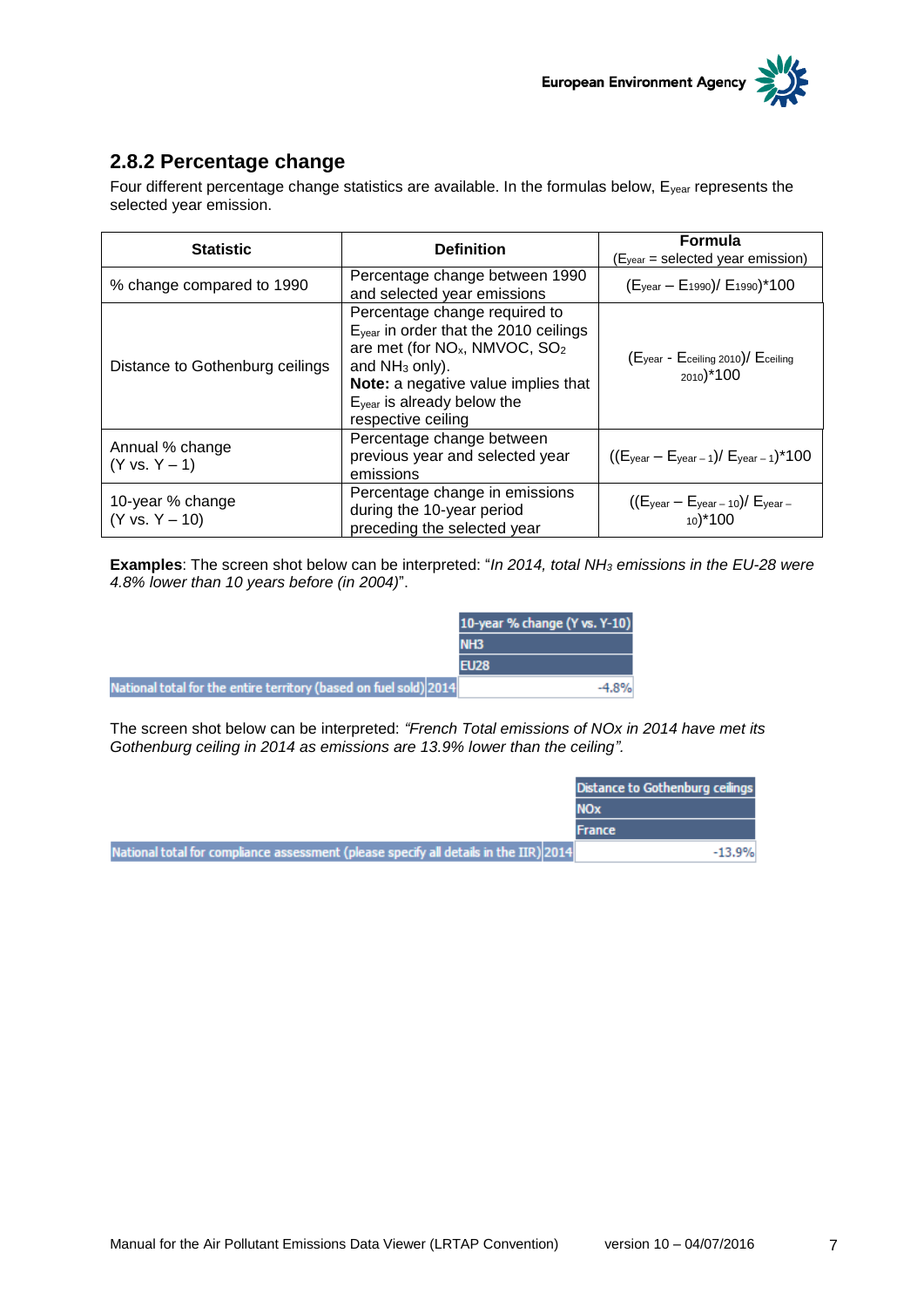

#### <span id="page-6-0"></span>**2.8.2 Percentage change**

Four different percentage change statistics are available. In the formulas below, E<sub>year</sub> represents the selected year emission.

| <b>Statistic</b>                   | <b>Definition</b>                                                                                                                                                                                                                                          | <b>Formula</b><br>$(Eyear = selected year emission)$                               |
|------------------------------------|------------------------------------------------------------------------------------------------------------------------------------------------------------------------------------------------------------------------------------------------------------|------------------------------------------------------------------------------------|
| % change compared to 1990          | Percentage change between 1990<br>and selected year emissions                                                                                                                                                                                              | $(E_{\text{year}} - E_{1990})$ / $E_{1990}$ <sup>*</sup> 100                       |
| Distance to Gothenburg ceilings    | Percentage change required to<br>Eyear in order that the 2010 ceilings<br>are met (for NO <sub>x</sub> , NMVOC, SO <sub>2</sub><br>and $NH3$ only).<br>Note: a negative value implies that<br>E <sub>year</sub> is already below the<br>respective ceiling | $(E_{\text{year}} - E_{\text{ceiling 2010}})/E_{\text{ceiling}}$<br>$_{2010})*100$ |
| Annual % change<br>$(Y vs. Y - 1)$ | Percentage change between<br>previous year and selected year<br>emissions                                                                                                                                                                                  | $((E_{\text{year}} - E_{\text{year} - 1})/E_{\text{year} - 1})$ *100               |
| 10-year % change<br>(Y vs. Y – 10) | Percentage change in emissions<br>during the 10-year period<br>preceding the selected year                                                                                                                                                                 | $((E_{\text{year}} - E_{\text{year} - 10})/E_{\text{year} - 10})$<br>$_{10}$ * 100 |

**Examples**: The screen shot below can be interpreted: "*In 2014, total NH<sup>3</sup> emissions in the EU-28 were 4.8% lower than 10 years before (in 2004)*".

|                                                                   | 10-year % change (Y vs. Y-10) |  |
|-------------------------------------------------------------------|-------------------------------|--|
|                                                                   | <b>NH3</b>                    |  |
|                                                                   |                               |  |
| National total for the entire territory (based on fuel sold) 2014 | $-4.8%$                       |  |

The screen shot below can be interpreted: *"French Total emissions of NOx in 2014 have met its Gothenburg ceiling in 2014 as emissions are 13.9% lower than the ceiling".*

|                                                                                       | Distance to Gothenburg ceilings |
|---------------------------------------------------------------------------------------|---------------------------------|
|                                                                                       | <b>NOx</b>                      |
|                                                                                       | <b>France</b>                   |
| National total for compliance assessment (please specify all details in the IIR) 2014 | $-13.9%$                        |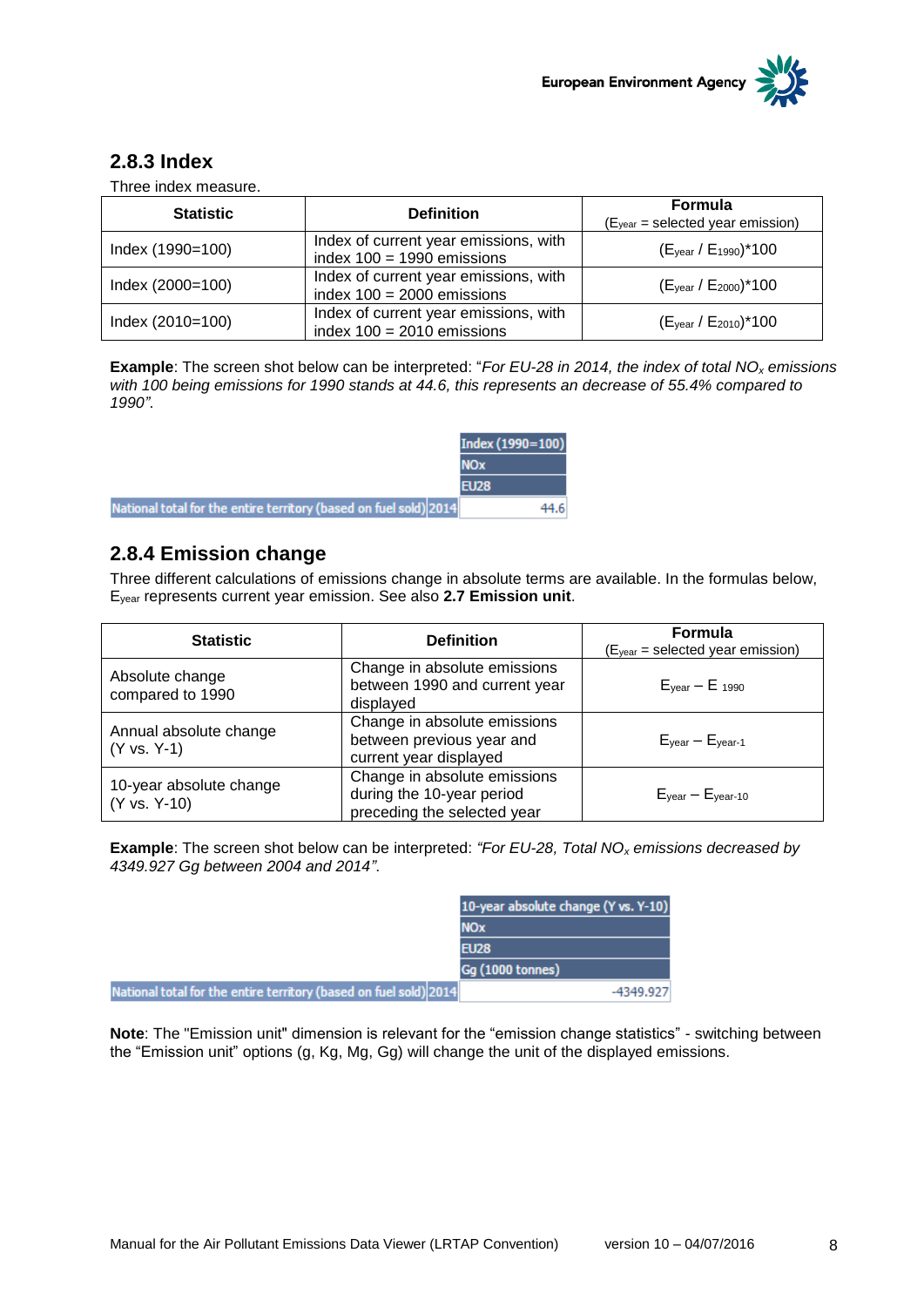

#### <span id="page-7-0"></span>**2.8.3 Index**

Three index measure.

| <b>Statistic</b> | <b>Definition</b>                                                     | <b>Formula</b><br>$(Eyear = selected year emission)$ |
|------------------|-----------------------------------------------------------------------|------------------------------------------------------|
| Index (1990=100) | Index of current year emissions, with<br>index $100 = 1990$ emissions | $(E_{\text{year}} / E_{1990})$ *100                  |
| Index (2000=100) | Index of current year emissions, with<br>index $100 = 2000$ emissions | (Eyear / E2000)*100                                  |
| Index (2010=100) | Index of current year emissions, with<br>index $100 = 2010$ emissions | (Eyear / E2010)*100                                  |

**Example**: The screen shot below can be interpreted: "*For EU-28 in 2014, the index of total NO<sup>x</sup> emissions with 100 being emissions for 1990 stands at 44.6, this represents an decrease of 55.4% compared to 1990"*.

|                                                                   | Index (1990=100) |
|-------------------------------------------------------------------|------------------|
|                                                                   | <b>NOx</b>       |
|                                                                   | <b>EU28</b>      |
| National total for the entire territory (based on fuel sold) 2014 | 44.6             |

#### <span id="page-7-1"></span>**2.8.4 Emission change**

Three different calculations of emissions change in absolute terms are available. In the formulas below, Eyear represents current year emission. See also **2.7 Emission unit**.

| <b>Statistic</b>                        | <b>Definition</b>                                                                        | <b>Formula</b><br>$(Eyear = selected year emission)$ |
|-----------------------------------------|------------------------------------------------------------------------------------------|------------------------------------------------------|
| Absolute change<br>compared to 1990     | Change in absolute emissions<br>between 1990 and current year<br>displayed               | $E_{\text{year}} - E_{\text{1990}}$                  |
| Annual absolute change<br>(Y vs. Y-1)   | Change in absolute emissions<br>between previous year and<br>current year displayed      | $E_{\text{year}} - E_{\text{year-1}}$                |
| 10-year absolute change<br>(Y vs. Y-10) | Change in absolute emissions<br>during the 10-year period<br>preceding the selected year | $E_{\text{year}} - E_{\text{year-10}}$               |

**Example**: The screen shot below can be interpreted: *"For EU-28, Total NO<sup>x</sup> emissions decreased by 4349.927 Gg between 2004 and 2014"*.

|                                                                   | 10-year absolute change (Y vs. Y-10) |
|-------------------------------------------------------------------|--------------------------------------|
|                                                                   | <b>NO<sub>x</sub></b>                |
|                                                                   | <b>EU28</b>                          |
|                                                                   | <b>Gg (1000 tonnes)</b>              |
| National total for the entire territory (based on fuel sold) 2014 | -4349.927                            |

**Note**: The "Emission unit" dimension is relevant for the "emission change statistics" - switching between the "Emission unit" options (g, Kg, Mg, Gg) will change the unit of the displayed emissions.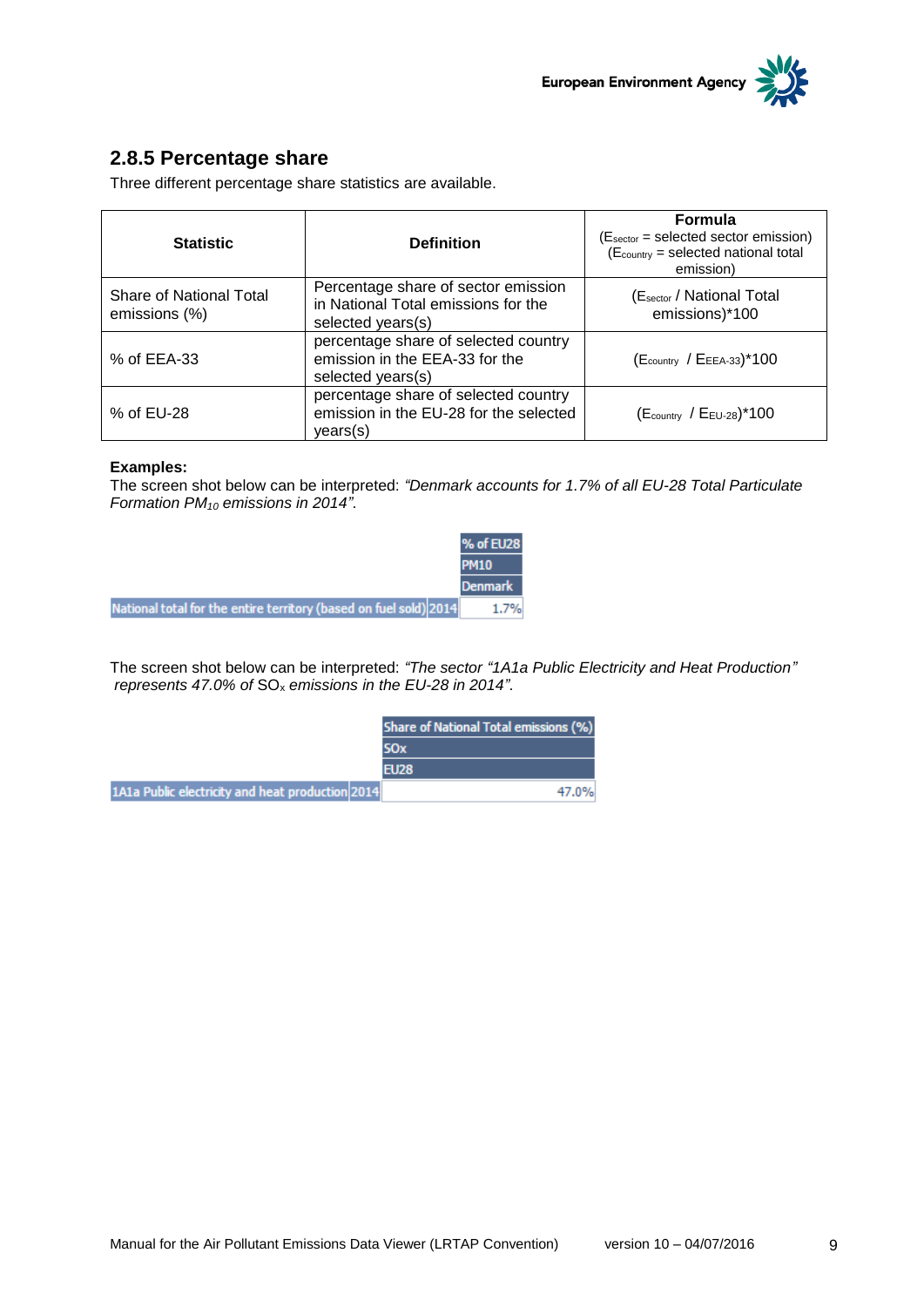

#### <span id="page-8-0"></span>**2.8.5 Percentage share**

Three different percentage share statistics are available.

| <b>Statistic</b>                         | <b>Definition</b>                                                                               | <b>Formula</b><br>(Esector = selected sector emission)<br>(Ecountry = selected national total<br>emission) |
|------------------------------------------|-------------------------------------------------------------------------------------------------|------------------------------------------------------------------------------------------------------------|
| Share of National Total<br>emissions (%) | Percentage share of sector emission<br>in National Total emissions for the<br>selected years(s) | (Esector / National Total<br>emissions)*100                                                                |
| % of EEA-33                              | percentage share of selected country<br>emission in the EEA-33 for the<br>selected years(s)     | $(E_{\text{country}} / E_{\text{EEA-33}})^*100$                                                            |
| % of EU-28                               | percentage share of selected country<br>emission in the EU-28 for the selected<br>years(s)      | $(E_{\text{country}} / E_{\text{EU-28}})^*$ 100                                                            |

#### **Examples:**

The screen shot below can be interpreted: *"Denmark accounts for 1.7% of all EU-28 Total Particulate Formation PM<sup>10</sup> emissions in 2014"*.

| % of EU28      |                                                                   |
|----------------|-------------------------------------------------------------------|
| <b>PM10</b>    |                                                                   |
| <b>Denmark</b> |                                                                   |
| 1.7%           | National total for the entire territory (based on fuel sold) 2014 |

The screen shot below can be interpreted: *"The sector "1A1a Public Electricity and Heat Production" represents 47.0% of* SO<sup>x</sup> *emissions in the EU-28 in 2014"*.

|                                                  | Share of National Total emissions (%) |  |
|--------------------------------------------------|---------------------------------------|--|
|                                                  | SOx                                   |  |
|                                                  | FI 178                                |  |
| 1A1a Public electricity and heat production 2014 | 47.0%                                 |  |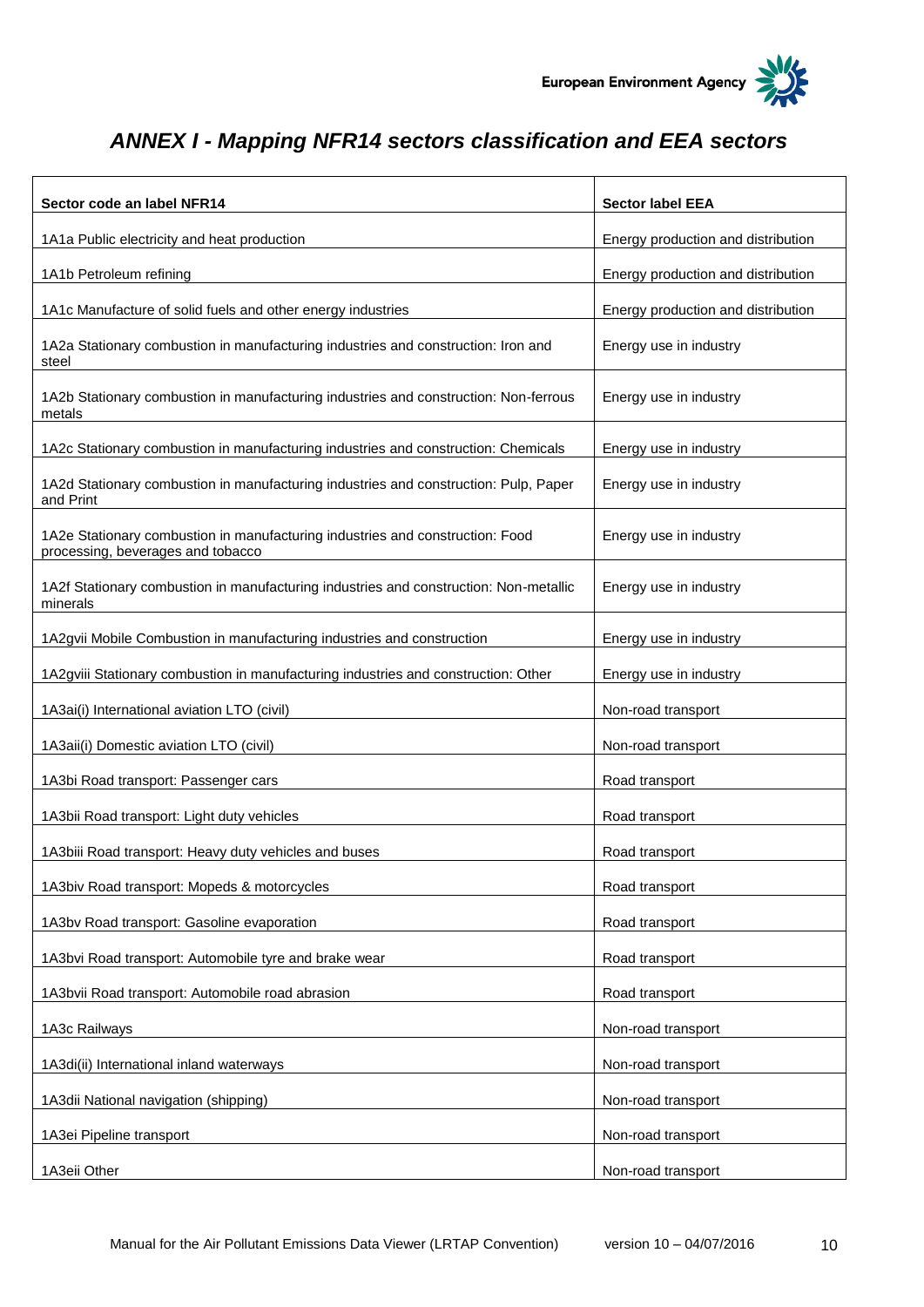

# <span id="page-9-0"></span>*ANNEX I - Mapping NFR14 sectors classification and EEA sectors*

| Sector code an label NFR14                                                                                         | <b>Sector label EEA</b>            |
|--------------------------------------------------------------------------------------------------------------------|------------------------------------|
| 1A1a Public electricity and heat production                                                                        | Energy production and distribution |
| 1A1b Petroleum refining                                                                                            | Energy production and distribution |
| 1A1c Manufacture of solid fuels and other energy industries                                                        | Energy production and distribution |
| 1A2a Stationary combustion in manufacturing industries and construction: Iron and<br>steel                         | Energy use in industry             |
| 1A2b Stationary combustion in manufacturing industries and construction: Non-ferrous<br>metals                     | Energy use in industry             |
| 1A2c Stationary combustion in manufacturing industries and construction: Chemicals                                 | Energy use in industry             |
| 1A2d Stationary combustion in manufacturing industries and construction: Pulp, Paper<br>and Print                  | Energy use in industry             |
| 1A2e Stationary combustion in manufacturing industries and construction: Food<br>processing, beverages and tobacco | Energy use in industry             |
| 1A2f Stationary combustion in manufacturing industries and construction: Non-metallic<br>minerals                  | Energy use in industry             |
| 1A2gvii Mobile Combustion in manufacturing industries and construction                                             | Energy use in industry             |
| 1A2gviii Stationary combustion in manufacturing industries and construction: Other                                 | Energy use in industry             |
| 1A3ai(i) International aviation LTO (civil)                                                                        | Non-road transport                 |
| 1A3aii(i) Domestic aviation LTO (civil)                                                                            | Non-road transport                 |
| 1A3bi Road transport: Passenger cars                                                                               | Road transport                     |
| 1A3bii Road transport: Light duty vehicles                                                                         | Road transport                     |
| 1A3biii Road transport: Heavy duty vehicles and buses                                                              | Road transport                     |
| 1A3biv Road transport: Mopeds & motorcycles                                                                        | Road transport                     |
| 1A3bv Road transport: Gasoline evaporation                                                                         | Road transport                     |
| 1A3bvi Road transport: Automobile tyre and brake wear                                                              | Road transport                     |
| 1A3bvii Road transport: Automobile road abrasion                                                                   | Road transport                     |
| 1A3c Railways                                                                                                      | Non-road transport                 |
| 1A3di(ii) International inland waterways                                                                           | Non-road transport                 |
| 1A3dii National navigation (shipping)                                                                              | Non-road transport                 |
| 1A3ei Pipeline transport                                                                                           | Non-road transport                 |
| 1A3eii Other                                                                                                       | Non-road transport                 |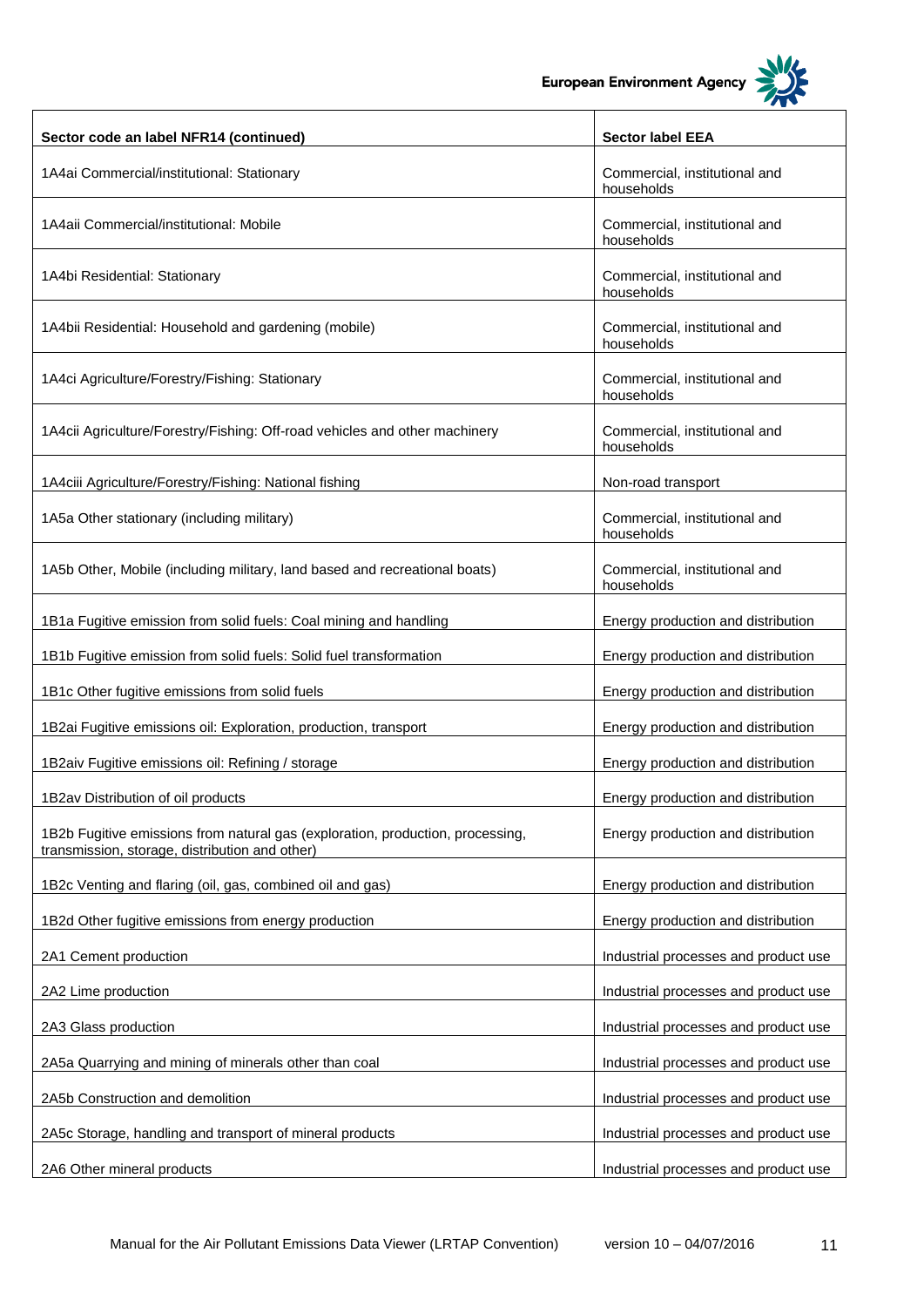European Environment Agency

┑



 $\overline{\mathbf{1}}$ 

| Sector code an label NFR14 (continued)                                                                                           | <b>Sector label EEA</b>                     |
|----------------------------------------------------------------------------------------------------------------------------------|---------------------------------------------|
| 1A4ai Commercial/institutional: Stationary                                                                                       | Commercial, institutional and<br>households |
| 1A4aii Commercial/institutional: Mobile                                                                                          | Commercial, institutional and<br>households |
| 1A4bi Residential: Stationary                                                                                                    | Commercial, institutional and<br>households |
| 1A4bii Residential: Household and gardening (mobile)                                                                             | Commercial, institutional and<br>households |
| 1A4ci Agriculture/Forestry/Fishing: Stationary                                                                                   | Commercial, institutional and<br>households |
| 1A4cii Agriculture/Forestry/Fishing: Off-road vehicles and other machinery                                                       | Commercial, institutional and<br>households |
| 1A4ciii Agriculture/Forestry/Fishing: National fishing                                                                           | Non-road transport                          |
| 1A5a Other stationary (including military)                                                                                       | Commercial, institutional and<br>households |
| 1A5b Other, Mobile (including military, land based and recreational boats)                                                       | Commercial, institutional and<br>households |
| 1B1a Fugitive emission from solid fuels: Coal mining and handling                                                                | Energy production and distribution          |
| 1B1b Fugitive emission from solid fuels: Solid fuel transformation                                                               | Energy production and distribution          |
| 1B1c Other fugitive emissions from solid fuels                                                                                   | Energy production and distribution          |
| 1B2ai Fugitive emissions oil: Exploration, production, transport                                                                 | Energy production and distribution          |
| 1B2aiv Fugitive emissions oil: Refining / storage                                                                                | Energy production and distribution          |
| 1B2av Distribution of oil products                                                                                               | Energy production and distribution          |
| 1B2b Fugitive emissions from natural gas (exploration, production, processing,<br>transmission, storage, distribution and other) | Energy production and distribution          |
| 1B2c Venting and flaring (oil, gas, combined oil and gas)                                                                        | Energy production and distribution          |
| 1B2d Other fugitive emissions from energy production                                                                             | Energy production and distribution          |
| 2A1 Cement production                                                                                                            | Industrial processes and product use        |
| 2A2 Lime production                                                                                                              | Industrial processes and product use        |
| 2A3 Glass production                                                                                                             | Industrial processes and product use        |
| 2A5a Quarrying and mining of minerals other than coal                                                                            | Industrial processes and product use        |
| 2A5b Construction and demolition                                                                                                 | Industrial processes and product use        |
| 2A5c Storage, handling and transport of mineral products                                                                         | Industrial processes and product use        |
| 2A6 Other mineral products                                                                                                       | Industrial processes and product use        |

 $\Gamma$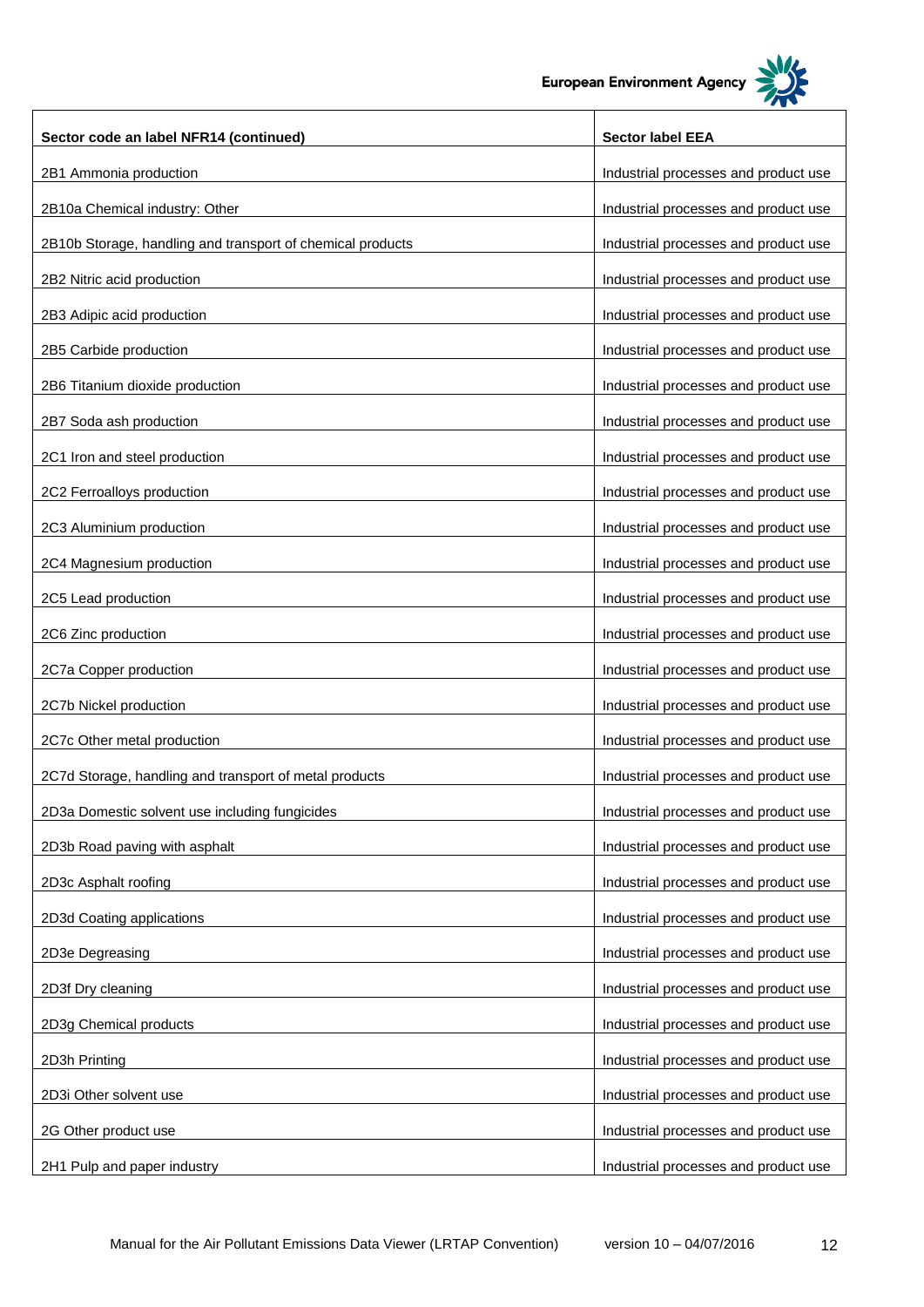

| Sector code an label NFR14 (continued)                     | <b>Sector label EEA</b>              |
|------------------------------------------------------------|--------------------------------------|
| 2B1 Ammonia production                                     | Industrial processes and product use |
| 2B10a Chemical industry: Other                             | Industrial processes and product use |
| 2B10b Storage, handling and transport of chemical products | Industrial processes and product use |
| 2B2 Nitric acid production                                 | Industrial processes and product use |
| 2B3 Adipic acid production                                 | Industrial processes and product use |
| 2B5 Carbide production                                     | Industrial processes and product use |
| 2B6 Titanium dioxide production                            | Industrial processes and product use |
| 2B7 Soda ash production                                    | Industrial processes and product use |
| 2C1 Iron and steel production                              | Industrial processes and product use |
| 2C2 Ferroalloys production                                 | Industrial processes and product use |
| 2C3 Aluminium production                                   | Industrial processes and product use |
| 2C4 Magnesium production                                   | Industrial processes and product use |
| 2C5 Lead production                                        | Industrial processes and product use |
| 2C6 Zinc production                                        | Industrial processes and product use |
| 2C7a Copper production                                     | Industrial processes and product use |
| 2C7b Nickel production                                     | Industrial processes and product use |
| 2C7c Other metal production                                | Industrial processes and product use |
| 2C7d Storage, handling and transport of metal products     | Industrial processes and product use |
| 2D3a Domestic solvent use including fungicides             | Industrial processes and product use |
| 2D3b Road paving with asphalt                              | Industrial processes and product use |
| 2D3c Asphalt roofing                                       | Industrial processes and product use |
| 2D3d Coating applications                                  | Industrial processes and product use |
| 2D3e Degreasing                                            | Industrial processes and product use |
| 2D3f Dry cleaning                                          | Industrial processes and product use |
| 2D3g Chemical products                                     | Industrial processes and product use |
| 2D3h Printing                                              | Industrial processes and product use |
| 2D3i Other solvent use                                     | Industrial processes and product use |
| 2G Other product use                                       | Industrial processes and product use |
| 2H1 Pulp and paper industry                                | Industrial processes and product use |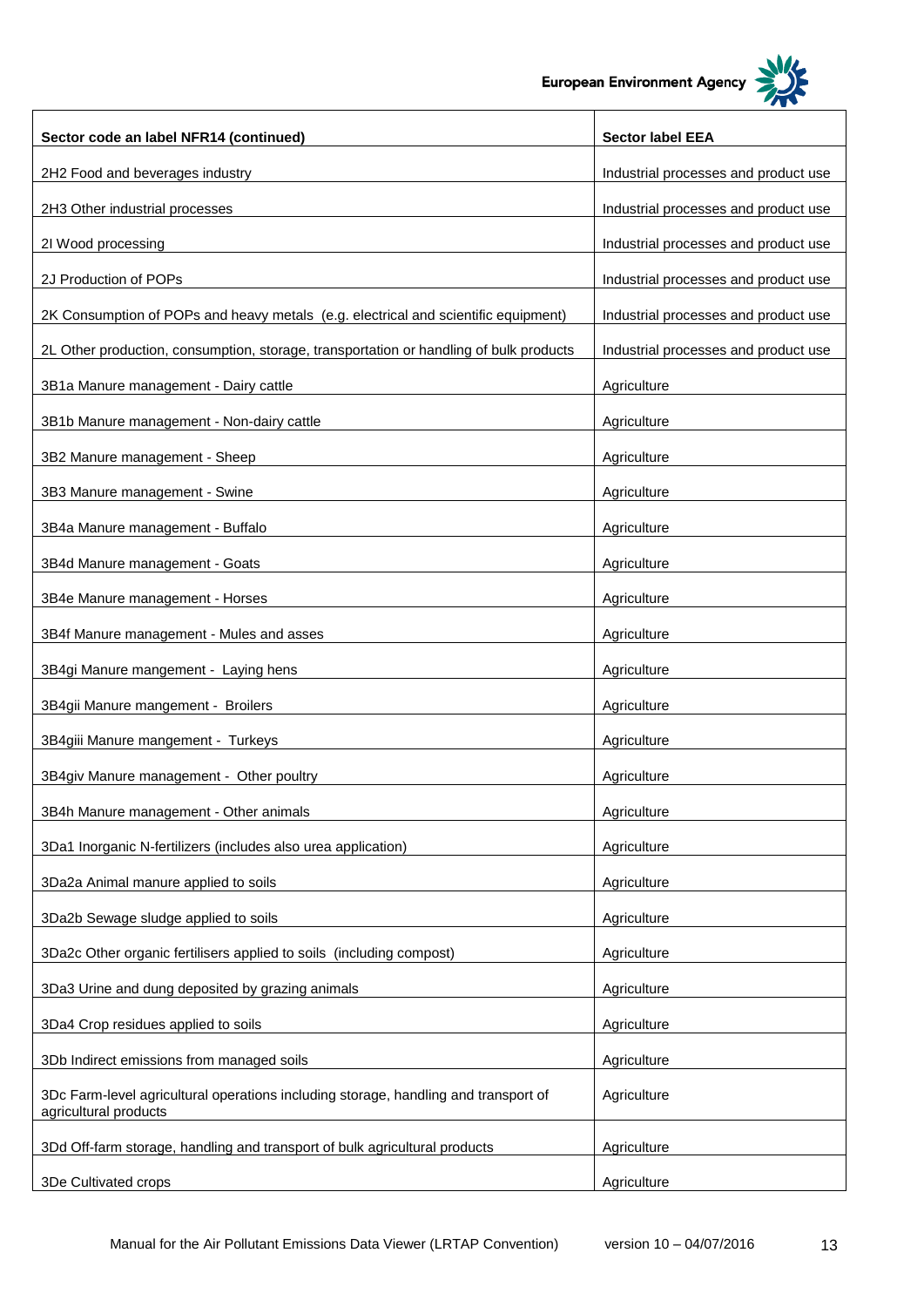**European Environment Agency** 

T



 $\overline{\phantom{a}}$ 

| Sector code an label NFR14 (continued)                                                                       | <b>Sector label EEA</b>              |
|--------------------------------------------------------------------------------------------------------------|--------------------------------------|
| 2H2 Food and beverages industry                                                                              | Industrial processes and product use |
| 2H3 Other industrial processes                                                                               | Industrial processes and product use |
| 2I Wood processing                                                                                           | Industrial processes and product use |
| 2J Production of POPs                                                                                        | Industrial processes and product use |
| 2K Consumption of POPs and heavy metals (e.g. electrical and scientific equipment)                           | Industrial processes and product use |
| 2L Other production, consumption, storage, transportation or handling of bulk products                       | Industrial processes and product use |
| 3B1a Manure management - Dairy cattle                                                                        | Agriculture                          |
| 3B1b Manure management - Non-dairy cattle                                                                    | Agriculture                          |
| 3B2 Manure management - Sheep                                                                                | Agriculture                          |
| 3B3 Manure management - Swine                                                                                | Agriculture                          |
| 3B4a Manure management - Buffalo                                                                             | Agriculture                          |
| 3B4d Manure management - Goats                                                                               | Agriculture                          |
| 3B4e Manure management - Horses                                                                              | Agriculture                          |
| 3B4f Manure management - Mules and asses                                                                     | Agriculture                          |
| 3B4gi Manure mangement - Laying hens                                                                         | Agriculture                          |
| 3B4gii Manure mangement - Broilers                                                                           | Agriculture                          |
| 3B4giii Manure mangement - Turkeys                                                                           | Agriculture                          |
| 3B4giv Manure management - Other poultry                                                                     | Agriculture                          |
| 3B4h Manure management - Other animals                                                                       | Agriculture                          |
| 3Da1 Inorganic N-fertilizers (includes also urea application)                                                | Agriculture                          |
| 3Da2a Animal manure applied to soils                                                                         | Agriculture                          |
| 3Da2b Sewage sludge applied to soils                                                                         | Agriculture                          |
| 3Da2c Other organic fertilisers applied to soils (including compost)                                         | Agriculture                          |
| 3Da3 Urine and dung deposited by grazing animals                                                             | Agriculture                          |
| 3Da4 Crop residues applied to soils                                                                          | Agriculture                          |
| 3Db Indirect emissions from managed soils                                                                    | Agriculture                          |
| 3Dc Farm-level agricultural operations including storage, handling and transport of<br>agricultural products | Agriculture                          |
| 3Dd Off-farm storage, handling and transport of bulk agricultural products                                   | Agriculture                          |
| 3De Cultivated crops                                                                                         | Agriculture                          |

 $\Gamma$